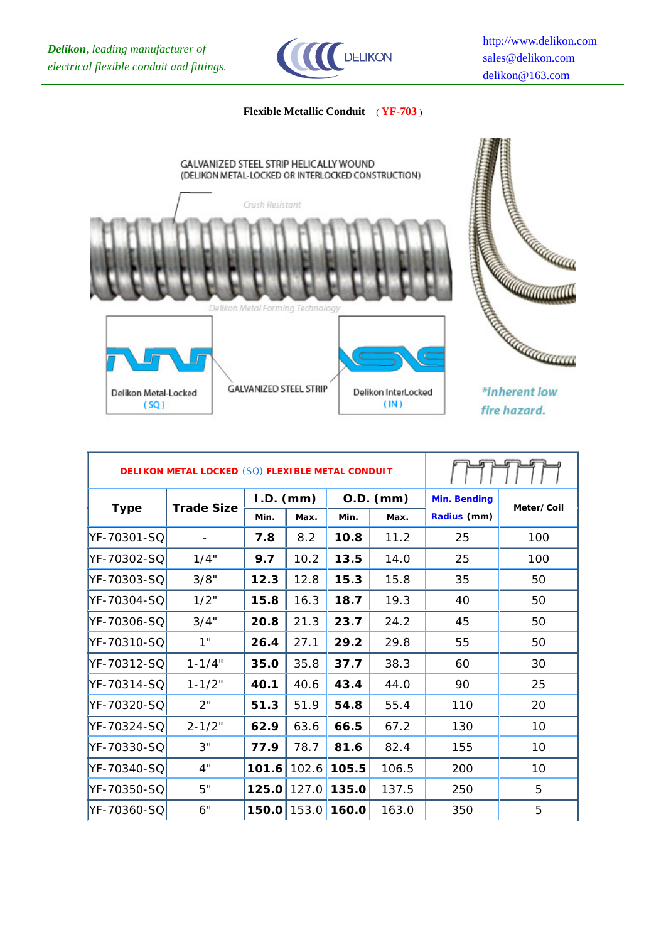

## **Flexible Metallic Conduit** ( **YF-703** )



|             | <b>DELIKON METAL LOCKED (SQ) FLEXIBLE METAL CONDUIT</b> |             |       |             |       |                     |            |
|-------------|---------------------------------------------------------|-------------|-------|-------------|-------|---------------------|------------|
| <b>Type</b> | <b>Trade Size</b>                                       | $I.D.$ (mm) |       | $O.D.$ (mm) |       | <b>Min. Bending</b> | Meter/Coil |
|             |                                                         | Min.        | Max.  | Min.        | Max.  | Radius (mm)         |            |
| YF-70301-SQ |                                                         | 7.8         | 8.2   | 10.8        | 11.2  | 25                  | 100        |
| YF-70302-SQ | 1/4"                                                    | 9.7         | 10.2  | 13.5        | 14.0  | 25                  | 100        |
| YF-70303-SQ | 3/8"                                                    | 12.3        | 12.8  | 15.3        | 15.8  | 35                  | 50         |
| YF-70304-SQ | 1/2"                                                    | 15.8        | 16.3  | 18.7        | 19.3  | 40                  | 50         |
| YF-70306-SQ | 3/4"                                                    | 20.8        | 21.3  | 23.7        | 24.2  | 45                  | 50         |
| YF-70310-SQ | 1"                                                      | 26.4        | 27.1  | 29.2        | 29.8  | 55                  | 50         |
| YF-70312-SQ | $1 - 1/4"$                                              | 35.0        | 35.8  | 37.7        | 38.3  | 60                  | 30         |
| YF-70314-SQ | $1 - 1/2"$                                              | 40.1        | 40.6  | 43.4        | 44.0  | 90                  | 25         |
| YF-70320-SQ | 2"                                                      | 51.3        | 51.9  | 54.8        | 55.4  | 110                 | 20         |
| YF-70324-SQ | $2 - 1/2"$                                              | 62.9        | 63.6  | 66.5        | 67.2  | 130                 | 10         |
| YF-70330-SQ | 3"                                                      | 77.9        | 78.7  | 81.6        | 82.4  | 155                 | 10         |
| YF-70340-SQ | 4"                                                      | 101.6       | 102.6 | 105.5       | 106.5 | 200                 | 10         |
| YF-70350-SQ | 5"                                                      | 125.0       | 127.0 | 135.0       | 137.5 | 250                 | 5          |
| YF-70360-SQ | 6"                                                      | 150.0       | 153.0 | 160.0       | 163.0 | 350                 | 5          |